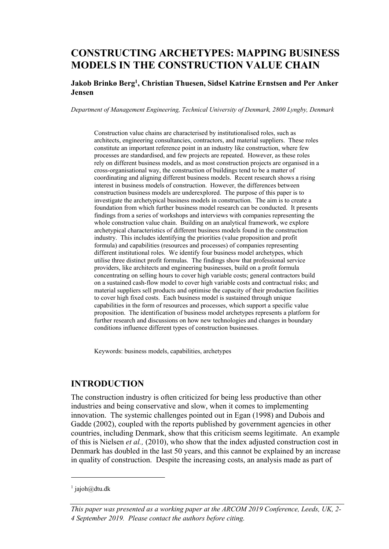# **CONSTRUCTING ARCHETYPES: MAPPING BUSINESS MODELS IN THE CONSTRUCTION VALUE CHAIN**

#### **Jakob Brinkø Berg1, Christian Thuesen, Sidsel Katrine Ernstsen and Per Anker Jensen**

*Department of Management Engineering, Technical University of Denmark, 2800 Lyngby, Denmark*

Construction value chains are characterised by institutionalised roles, such as architects, engineering consultancies, contractors, and material suppliers. These roles constitute an important reference point in an industry like construction, where few processes are standardised, and few projects are repeated. However, as these roles rely on different business models, and as most construction projects are organised in a cross-organisational way, the construction of buildings tend to be a matter of coordinating and aligning different business models. Recent research shows a rising interest in business models of construction. However, the differences between construction business models are underexplored. The purpose of this paper is to investigate the archetypical business models in construction. The aim is to create a foundation from which further business model research can be conducted. It presents findings from a series of workshops and interviews with companies representing the whole construction value chain. Building on an analytical framework, we explore archetypical characteristics of different business models found in the construction industry. This includes identifying the priorities (value proposition and profit formula) and capabilities (resources and processes) of companies representing different institutional roles. We identify four business model archetypes, which utilise three distinct profit formulas. The findings show that professional service providers, like architects and engineering businesses, build on a profit formula concentrating on selling hours to cover high variable costs; general contractors build on a sustained cash-flow model to cover high variable costs and contractual risks; and material suppliers sell products and optimise the capacity of their production facilities to cover high fixed costs. Each business model is sustained through unique capabilities in the form of resources and processes, which support a specific value proposition. The identification of business model archetypes represents a platform for further research and discussions on how new technologies and changes in boundary conditions influence different types of construction businesses.

Keywords: business models, capabilities, archetypes

### **INTRODUCTION**

The construction industry is often criticized for being less productive than other industries and being conservative and slow, when it comes to implementing innovation. The systemic challenges pointed out in Egan (1998) and Dubois and Gadde (2002), coupled with the reports published by government agencies in other countries, including Denmark, show that this criticism seems legitimate. An example of this is Nielsen *et al.,* (2010), who show that the index adjusted construction cost in Denmark has doubled in the last 50 years, and this cannot be explained by an increase in quality of construction. Despite the increasing costs, an analysis made as part of

 $1$  jajoh@dtu.dk

*This paper was presented as a working paper at the ARCOM 2019 Conference, Leeds, UK, 2- 4 September 2019. Please contact the authors before citing.*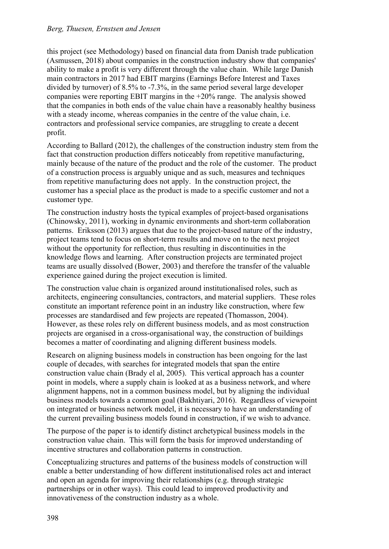this project (see Methodology) based on financial data from Danish trade publication (Asmussen, 2018) about companies in the construction industry show that companies' ability to make a profit is very different through the value chain. While large Danish main contractors in 2017 had EBIT margins (Earnings Before Interest and Taxes divided by turnover) of 8.5% to -7.3%, in the same period several large developer companies were reporting EBIT margins in the +20% range. The analysis showed that the companies in both ends of the value chain have a reasonably healthy business with a steady income, whereas companies in the centre of the value chain, i.e. contractors and professional service companies, are struggling to create a decent profit.

According to Ballard (2012), the challenges of the construction industry stem from the fact that construction production differs noticeably from repetitive manufacturing, mainly because of the nature of the product and the role of the customer. The product of a construction process is arguably unique and as such, measures and techniques from repetitive manufacturing does not apply. In the construction project, the customer has a special place as the product is made to a specific customer and not a customer type.

The construction industry hosts the typical examples of project-based organisations (Chinowsky, 2011), working in dynamic environments and short-term collaboration patterns. Eriksson (2013) argues that due to the project-based nature of the industry, project teams tend to focus on short-term results and move on to the next project without the opportunity for reflection, thus resulting in discontinuities in the knowledge flows and learning. After construction projects are terminated project teams are usually dissolved (Bower, 2003) and therefore the transfer of the valuable experience gained during the project execution is limited.

The construction value chain is organized around institutionalised roles, such as architects, engineering consultancies, contractors, and material suppliers. These roles constitute an important reference point in an industry like construction, where few processes are standardised and few projects are repeated (Thomasson, 2004). However, as these roles rely on different business models, and as most construction projects are organised in a cross-organisational way, the construction of buildings becomes a matter of coordinating and aligning different business models.

Research on aligning business models in construction has been ongoing for the last couple of decades, with searches for integrated models that span the entire construction value chain (Brady el al, 2005). This vertical approach has a counter point in models, where a supply chain is looked at as a business network, and where alignment happens, not in a common business model, but by aligning the individual business models towards a common goal (Bakhtiyari, 2016). Regardless of viewpoint on integrated or business network model, it is necessary to have an understanding of the current prevailing business models found in construction, if we wish to advance.

The purpose of the paper is to identify distinct archetypical business models in the construction value chain. This will form the basis for improved understanding of incentive structures and collaboration patterns in construction.

Conceptualizing structures and patterns of the business models of construction will enable a better understanding of how different institutionalised roles act and interact and open an agenda for improving their relationships (e.g. through strategic partnerships or in other ways). This could lead to improved productivity and innovativeness of the construction industry as a whole.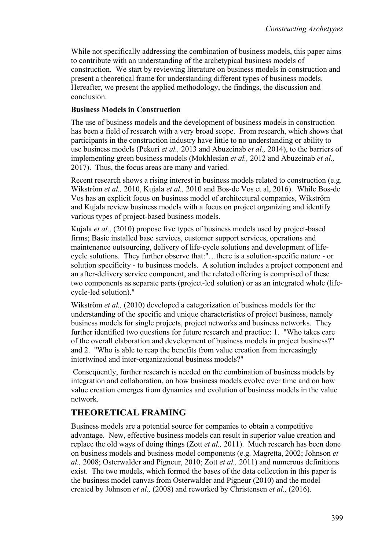While not specifically addressing the combination of business models, this paper aims to contribute with an understanding of the archetypical business models of construction. We start by reviewing literature on business models in construction and present a theoretical frame for understanding different types of business models. Hereafter, we present the applied methodology, the findings, the discussion and conclusion.

### **Business Models in Construction**

The use of business models and the development of business models in construction has been a field of research with a very broad scope. From research, which shows that participants in the construction industry have little to no understanding or ability to use business models (Pekuri *et al.,* 2013 and Abuzeinab *et al.,* 2014), to the barriers of implementing green business models (Mokhlesian *et al.,* 2012 and Abuzeinab *et al.,*  2017). Thus, the focus areas are many and varied.

Recent research shows a rising interest in business models related to construction (e.g. Wikström *et al.,* 2010, Kujala *et al.,* 2010 and Bos-de Vos et al, 2016). While Bos-de Vos has an explicit focus on business model of architectural companies, Wikström and Kujala review business models with a focus on project organizing and identify various types of project-based business models.

Kujala *et al.,* (2010) propose five types of business models used by project-based firms; Basic installed base services, customer support services, operations and maintenance outsourcing, delivery of life-cycle solutions and development of lifecycle solutions. They further observe that:"…there is a solution-specific nature - or solution specificity - to business models. A solution includes a project component and an after-delivery service component, and the related offering is comprised of these two components as separate parts (project-led solution) or as an integrated whole (lifecycle-led solution)."

Wikström *et al.,* (2010) developed a categorization of business models for the understanding of the specific and unique characteristics of project business, namely business models for single projects, project networks and business networks. They further identified two questions for future research and practice: 1. "Who takes care of the overall elaboration and development of business models in project business?" and 2. "Who is able to reap the benefits from value creation from increasingly intertwined and inter-organizational business models?"

Consequently, further research is needed on the combination of business models by integration and collaboration, on how business models evolve over time and on how value creation emerges from dynamics and evolution of business models in the value network.

## **THEORETICAL FRAMING**

Business models are a potential source for companies to obtain a competitive advantage. New, effective business models can result in superior value creation and replace the old ways of doing things (Zott *et al.,* 2011). Much research has been done on business models and business model components (e.g. Magretta, 2002; Johnson *et al.,* 2008; Osterwalder and Pigneur, 2010; Zott *et al.,* 2011) and numerous definitions exist. The two models, which formed the bases of the data collection in this paper is the business model canvas from Osterwalder and Pigneur (2010) and the model created by Johnson *et al.,* (2008) and reworked by Christensen *et al.,* (2016).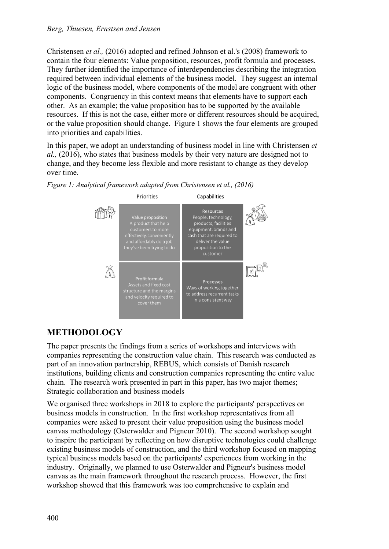Christensen *et al.,* (2016) adopted and refined Johnson et al.'s (2008) framework to contain the four elements: Value proposition, resources, profit formula and processes. They further identified the importance of interdependencies describing the integration required between individual elements of the business model. They suggest an internal logic of the business model, where components of the model are congruent with other components. Congruency in this context means that elements have to support each other. As an example; the value proposition has to be supported by the available resources. If this is not the case, either more or different resources should be acquired, or the value proposition should change. Figure 1 shows the four elements are grouped into priorities and capabilities.

In this paper, we adopt an understanding of business model in line with Christensen *et al.,* (2016), who states that business models by their very nature are designed not to change, and they become less flexible and more resistant to change as they develop over time.



*Figure 1: Analytical framework adapted from Christensen et al., (2016)*

# **METHODOLOGY**

The paper presents the findings from a series of workshops and interviews with companies representing the construction value chain. This research was conducted as part of an innovation partnership, REBUS, which consists of Danish research institutions, building clients and construction companies representing the entire value chain. The research work presented in part in this paper, has two major themes; Strategic collaboration and business models

We organised three workshops in 2018 to explore the participants' perspectives on business models in construction. In the first workshop representatives from all companies were asked to present their value proposition using the business model canvas methodology (Osterwalder and Pigneur 2010). The second workshop sought to inspire the participant by reflecting on how disruptive technologies could challenge existing business models of construction, and the third workshop focused on mapping typical business models based on the participants' experiences from working in the industry. Originally, we planned to use Osterwalder and Pigneur's business model canvas as the main framework throughout the research process. However, the first workshop showed that this framework was too comprehensive to explain and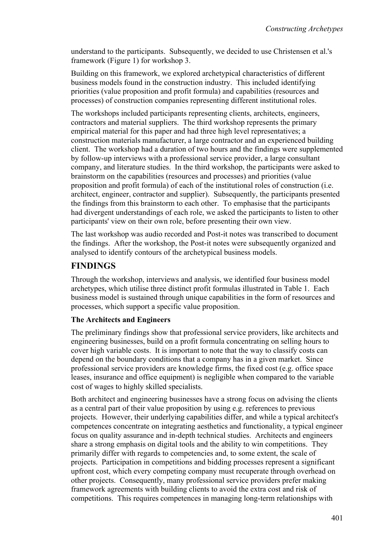understand to the participants. Subsequently, we decided to use Christensen et al.'s framework (Figure 1) for workshop 3.

Building on this framework, we explored archetypical characteristics of different business models found in the construction industry. This included identifying priorities (value proposition and profit formula) and capabilities (resources and processes) of construction companies representing different institutional roles.

The workshops included participants representing clients, architects, engineers, contractors and material suppliers. The third workshop represents the primary empirical material for this paper and had three high level representatives; a construction materials manufacturer, a large contractor and an experienced building client. The workshop had a duration of two hours and the findings were supplemented by follow-up interviews with a professional service provider, a large consultant company, and literature studies. In the third workshop, the participants were asked to brainstorm on the capabilities (resources and processes) and priorities (value proposition and profit formula) of each of the institutional roles of construction (i.e. architect, engineer, contractor and supplier). Subsequently, the participants presented the findings from this brainstorm to each other. To emphasise that the participants had divergent understandings of each role, we asked the participants to listen to other participants' view on their own role, before presenting their own view.

The last workshop was audio recorded and Post-it notes was transcribed to document the findings. After the workshop, the Post-it notes were subsequently organized and analysed to identify contours of the archetypical business models.

## **FINDINGS**

Through the workshop, interviews and analysis, we identified four business model archetypes, which utilise three distinct profit formulas illustrated in Table 1. Each business model is sustained through unique capabilities in the form of resources and processes, which support a specific value proposition.

## **The Architects and Engineers**

The preliminary findings show that professional service providers, like architects and engineering businesses, build on a profit formula concentrating on selling hours to cover high variable costs. It is important to note that the way to classify costs can depend on the boundary conditions that a company has in a given market. Since professional service providers are knowledge firms, the fixed cost (e.g. office space leases, insurance and office equipment) is negligible when compared to the variable cost of wages to highly skilled specialists.

Both architect and engineering businesses have a strong focus on advising the clients as a central part of their value proposition by using e.g. references to previous projects. However, their underlying capabilities differ, and while a typical architect's competences concentrate on integrating aesthetics and functionality, a typical engineer focus on quality assurance and in-depth technical studies. Architects and engineers share a strong emphasis on digital tools and the ability to win competitions. They primarily differ with regards to competencies and, to some extent, the scale of projects. Participation in competitions and bidding processes represent a significant upfront cost, which every competing company must recuperate through overhead on other projects. Consequently, many professional service providers prefer making framework agreements with building clients to avoid the extra cost and risk of competitions. This requires competences in managing long-term relationships with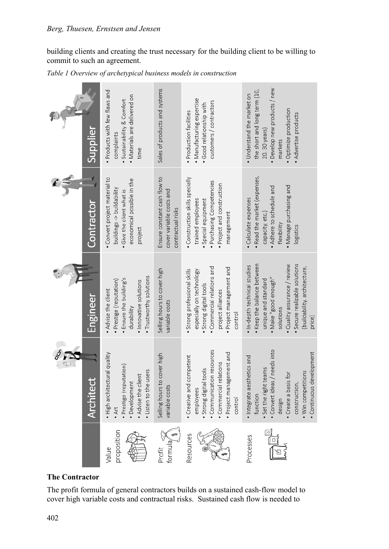building clients and creating the trust necessary for the building client to be willing to commit to such an agreement.

*Table 1 Overview of archetypical business models in construction*

| Supplier         | · Products with few flaws and<br>· Materials are delivered on<br>Sustainability & Comfort<br>complaints<br>time                              | Sales of products and systems                                                 | · Manufacturing expertise<br>customers / contractors<br>· Good relationship with<br>· Production facilities                                                                  | • Develop new products / new<br>the short and long term (10,<br>· Understand the market on<br>· Optimize production<br>• Advertise products<br>20, 30 years)<br>markets                                                         |
|------------------|----------------------------------------------------------------------------------------------------------------------------------------------|-------------------------------------------------------------------------------|------------------------------------------------------------------------------------------------------------------------------------------------------------------------------|---------------------------------------------------------------------------------------------------------------------------------------------------------------------------------------------------------------------------------|
| Contractor       | Convert project material to<br>economical possible in the<br>buildings -> buildability<br>Give the client what is<br>project                 | Ensure constant cash flow to<br>cover variable costs and<br>contractual risks | Construction skills specially<br>· Purchasing Competencies<br>· Project and construction<br>Special equipment<br>trained employees<br>management                             | · Read the market (expenses,<br>. Manage purchasing and<br>Adhere to schedule and<br>· Calculate expenses<br>capacity, etc.)<br>flexibility<br>logistics                                                                        |
| Engineer         | • Trustworthy solutions<br>· Ensure the building's<br>· Prestige (reputation)<br>· Innovative solutions<br>. Advise the client<br>durability | Selling hours to cover high<br>variable costs                                 | • Commercial relations and<br>· Project management and<br>· Strong professional skills<br>especially on technology<br>· Strong digital tools<br>project alliances<br>control | • Keep the balance between<br>Secure realizable solutions<br>· Quality assurance / review<br>. In-depth technical studies<br>(buildability, architecture,<br>• Make "good enough"<br>unique and standard<br>solutions<br>price) |
| <b>Architect</b> | • High architectural quality<br>· Prestige (reputation)<br>. Listen to the users<br>. Advise the client<br>· Development<br>.4rt             | Selling hours to cover high<br>variable costs                                 | · Communication resources<br>Project management and<br>Creative and competent<br>· Commercial relations<br>• Strong digital tools<br>employees<br>control                    | needs into<br>Continuous development<br>· Integrate aesthetics and<br>· Set the right teams<br>. Win competitions<br>• Create a basis for<br>Convertideas /<br>construction,<br>function<br>design                              |
|                  | proposition<br>Value                                                                                                                         | formula <sub>/</sub><br>Profit                                                | Resources                                                                                                                                                                    | Processes                                                                                                                                                                                                                       |

## **The Contractor**

The profit formula of general contractors builds on a sustained cash-flow model to cover high variable costs and contractual risks. Sustained cash flow is needed to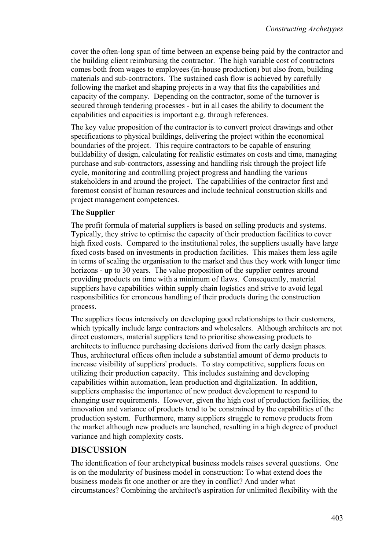cover the often-long span of time between an expense being paid by the contractor and the building client reimbursing the contractor. The high variable cost of contractors comes both from wages to employees (in-house production) but also from, building materials and sub-contractors. The sustained cash flow is achieved by carefully following the market and shaping projects in a way that fits the capabilities and capacity of the company. Depending on the contractor, some of the turnover is secured through tendering processes - but in all cases the ability to document the capabilities and capacities is important e.g. through references.

The key value proposition of the contractor is to convert project drawings and other specifications to physical buildings, delivering the project within the economical boundaries of the project. This require contractors to be capable of ensuring buildability of design, calculating for realistic estimates on costs and time, managing purchase and sub-contractors, assessing and handling risk through the project life cycle, monitoring and controlling project progress and handling the various stakeholders in and around the project. The capabilities of the contractor first and foremost consist of human resources and include technical construction skills and project management competences.

### **The Supplier**

The profit formula of material suppliers is based on selling products and systems. Typically, they strive to optimise the capacity of their production facilities to cover high fixed costs. Compared to the institutional roles, the suppliers usually have large fixed costs based on investments in production facilities. This makes them less agile in terms of scaling the organisation to the market and thus they work with longer time horizons - up to 30 years. The value proposition of the supplier centres around providing products on time with a minimum of flaws. Consequently, material suppliers have capabilities within supply chain logistics and strive to avoid legal responsibilities for erroneous handling of their products during the construction process.

The suppliers focus intensively on developing good relationships to their customers, which typically include large contractors and wholesalers. Although architects are not direct customers, material suppliers tend to prioritise showcasing products to architects to influence purchasing decisions derived from the early design phases. Thus, architectural offices often include a substantial amount of demo products to increase visibility of suppliers' products. To stay competitive, suppliers focus on utilizing their production capacity. This includes sustaining and developing capabilities within automation, lean production and digitalization. In addition, suppliers emphasise the importance of new product development to respond to changing user requirements. However, given the high cost of production facilities, the innovation and variance of products tend to be constrained by the capabilities of the production system. Furthermore, many suppliers struggle to remove products from the market although new products are launched, resulting in a high degree of product variance and high complexity costs.

## **DISCUSSION**

The identification of four archetypical business models raises several questions. One is on the modularity of business model in construction: To what extend does the business models fit one another or are they in conflict? And under what circumstances? Combining the architect's aspiration for unlimited flexibility with the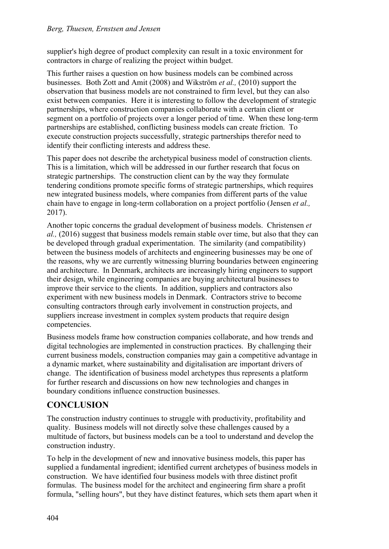supplier's high degree of product complexity can result in a toxic environment for contractors in charge of realizing the project within budget.

This further raises a question on how business models can be combined across businesses. Both Zott and Amit (2008) and Wikström *et al.,* (2010) support the observation that business models are not constrained to firm level, but they can also exist between companies. Here it is interesting to follow the development of strategic partnerships, where construction companies collaborate with a certain client or segment on a portfolio of projects over a longer period of time. When these long-term partnerships are established, conflicting business models can create friction. To execute construction projects successfully, strategic partnerships therefor need to identify their conflicting interests and address these.

This paper does not describe the archetypical business model of construction clients. This is a limitation, which will be addressed in our further research that focus on strategic partnerships. The construction client can by the way they formulate tendering conditions promote specific forms of strategic partnerships, which requires new integrated business models, where companies from different parts of the value chain have to engage in long-term collaboration on a project portfolio (Jensen *et al.,*  2017).

Another topic concerns the gradual development of business models. Christensen *et al.,* (2016) suggest that business models remain stable over time, but also that they can be developed through gradual experimentation. The similarity (and compatibility) between the business models of architects and engineering businesses may be one of the reasons, why we are currently witnessing blurring boundaries between engineering and architecture. In Denmark, architects are increasingly hiring engineers to support their design, while engineering companies are buying architectural businesses to improve their service to the clients. In addition, suppliers and contractors also experiment with new business models in Denmark. Contractors strive to become consulting contractors through early involvement in construction projects, and suppliers increase investment in complex system products that require design competencies.

Business models frame how construction companies collaborate, and how trends and digital technologies are implemented in construction practices. By challenging their current business models, construction companies may gain a competitive advantage in a dynamic market, where sustainability and digitalisation are important drivers of change. The identification of business model archetypes thus represents a platform for further research and discussions on how new technologies and changes in boundary conditions influence construction businesses.

# **CONCLUSION**

The construction industry continues to struggle with productivity, profitability and quality. Business models will not directly solve these challenges caused by a multitude of factors, but business models can be a tool to understand and develop the construction industry.

To help in the development of new and innovative business models, this paper has supplied a fundamental ingredient; identified current archetypes of business models in construction. We have identified four business models with three distinct profit formulas. The business model for the architect and engineering firm share a profit formula, "selling hours", but they have distinct features, which sets them apart when it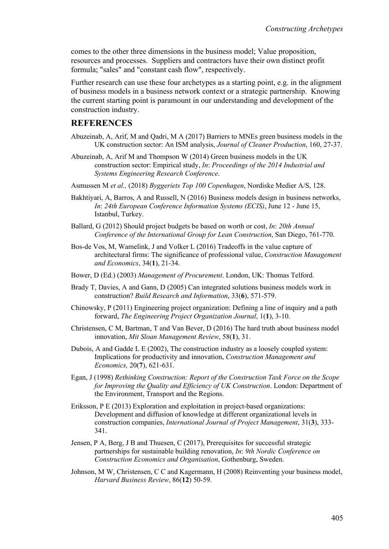comes to the other three dimensions in the business model; Value proposition, resources and processes. Suppliers and contractors have their own distinct profit formula; "sales" and "constant cash flow", respectively.

Further research can use these four archetypes as a starting point, e.g. in the alignment of business models in a business network context or a strategic partnership. Knowing the current starting point is paramount in our understanding and development of the construction industry.

#### **REFERENCES**

- Abuzeinab, A, Arif, M and Qadri, M A (2017) Barriers to MNEs green business models in the UK construction sector: An ISM analysis, *Journal of Cleaner Production*, 160, 27-37.
- Abuzeinab, A, Arif M and Thompson W (2014) Green business models in the UK construction sector: Empirical study, *In*: *Proceedings of the 2014 Industrial and Systems Engineering Research Conference*.
- Asmussen M *et al.,* (2018) *Byggeriets Top 100 Copenhagen*, Nordiske Medier A/S, 128.
- Bakhtiyari, A, Barros, A and Russell, N (2016) Business models design in business networks, *In*: *24th European Conference Information Systems (ECIS)*, June 12 - June 15, Istanbul, Turkey.
- Ballard, G (2012) Should project budgets be based on worth or cost, *In*: *20th Annual Conference of the International Group for Lean Construction*, San Diego, 761-770.
- Bos-de Vos, M, Wamelink, J and Volker L (2016) Tradeoffs in the value capture of architectural firms: The significance of professional value, *Construction Management and Economics*, 34(**1**), 21-34.
- Bower, D (Ed.) (2003) *Management of Procurement*. London, UK: Thomas Telford.
- Brady T, Davies, A and Gann, D (2005) Can integrated solutions business models work in construction? *Build Research and Information*, 33(**6**), 571-579.
- Chinowsky, P (2011) Engineering project organization: Defining a line of inquiry and a path forward, *The Engineering Project Organization Journal*, 1(**1**), 3-10.
- Christensen, C M, Bartman, T and Van Bever, D (2016) The hard truth about business model innovation, *Mit Sloan Management Review*, 58(**1**), 31.
- Dubois, A and Gadde L E (2002), The construction industry as a loosely coupled system: Implications for productivity and innovation, *Construction Management and Economics,* 20(**7**), 621-631.
- Egan, J (1998) *Rethinking Construction: Report of the Construction Task Force on the Scope for Improving the Quality and Efficiency of UK Construction*. London: Department of the Environment, Transport and the Regions.
- Eriksson, P E (2013) Exploration and exploitation in project-based organizations: Development and diffusion of knowledge at different organizational levels in construction companies, *International Journal of Project Management*, 31(**3**), 333- 341.
- Jensen, P A, Berg, J B and Thuesen, C (2017), Prerequisites for successful strategic partnerships for sustainable building renovation, *In*: *9th Nordic Conference on Construction Economics and Organisation*, Gothenburg, Sweden.
- Johnson, M W, Christensen, C C and Kagermann, H (2008) Reinventing your business model, *Harvard Business Review*, 86(**12**) 50-59.